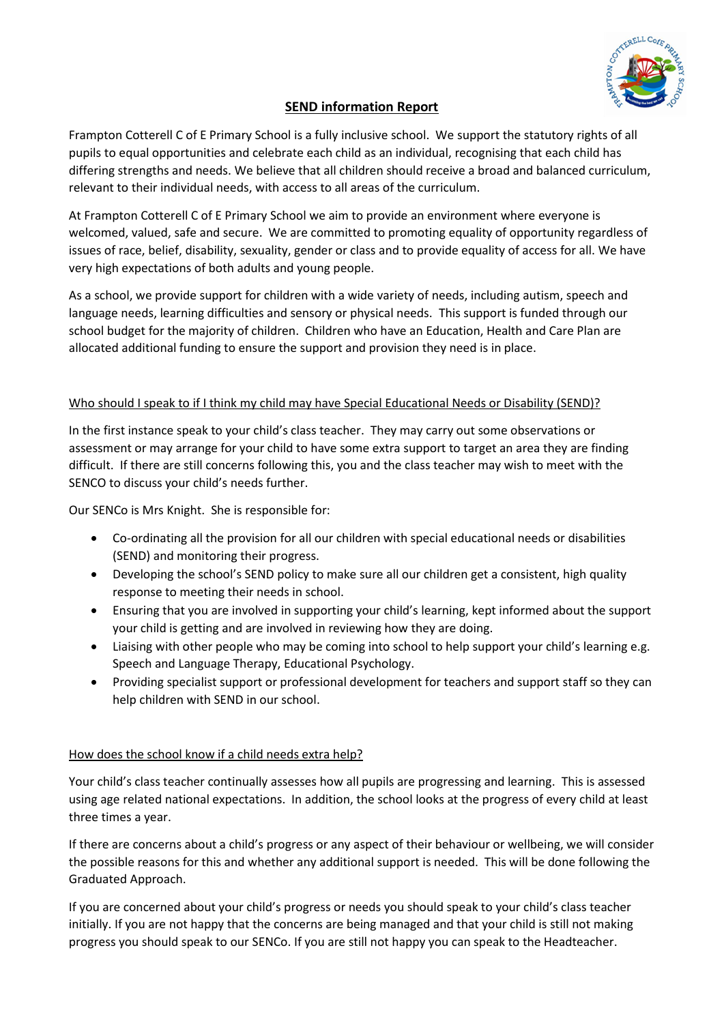

# **SEND information Report**

Frampton Cotterell C of E Primary School is a fully inclusive school. We support the statutory rights of all pupils to equal opportunities and celebrate each child as an individual, recognising that each child has differing strengths and needs. We believe that all children should receive a broad and balanced curriculum, relevant to their individual needs, with access to all areas of the curriculum.

At Frampton Cotterell C of E Primary School we aim to provide an environment where everyone is welcomed, valued, safe and secure. We are committed to promoting equality of opportunity regardless of issues of race, belief, disability, sexuality, gender or class and to provide equality of access for all. We have very high expectations of both adults and young people.

As a school, we provide support for children with a wide variety of needs, including autism, speech and language needs, learning difficulties and sensory or physical needs. This support is funded through our school budget for the majority of children. Children who have an Education, Health and Care Plan are allocated additional funding to ensure the support and provision they need is in place.

## Who should I speak to if I think my child may have Special Educational Needs or Disability (SEND)?

In the first instance speak to your child's class teacher. They may carry out some observations or assessment or may arrange for your child to have some extra support to target an area they are finding difficult. If there are still concerns following this, you and the class teacher may wish to meet with the SENCO to discuss your child's needs further.

Our SENCo is Mrs Knight. She is responsible for:

- Co-ordinating all the provision for all our children with special educational needs or disabilities (SEND) and monitoring their progress.
- Developing the school's SEND policy to make sure all our children get a consistent, high quality response to meeting their needs in school.
- Ensuring that you are involved in supporting your child's learning, kept informed about the support your child is getting and are involved in reviewing how they are doing.
- Liaising with other people who may be coming into school to help support your child's learning e.g. Speech and Language Therapy, Educational Psychology.
- Providing specialist support or professional development for teachers and support staff so they can help children with SEND in our school.

#### How does the school know if a child needs extra help?

Your child's class teacher continually assesses how all pupils are progressing and learning. This is assessed using age related national expectations. In addition, the school looks at the progress of every child at least three times a year.

If there are concerns about a child's progress or any aspect of their behaviour or wellbeing, we will consider the possible reasons for this and whether any additional support is needed. This will be done following the Graduated Approach.

If you are concerned about your child's progress or needs you should speak to your child's class teacher initially. If you are not happy that the concerns are being managed and that your child is still not making progress you should speak to our SENCo. If you are still not happy you can speak to the Headteacher.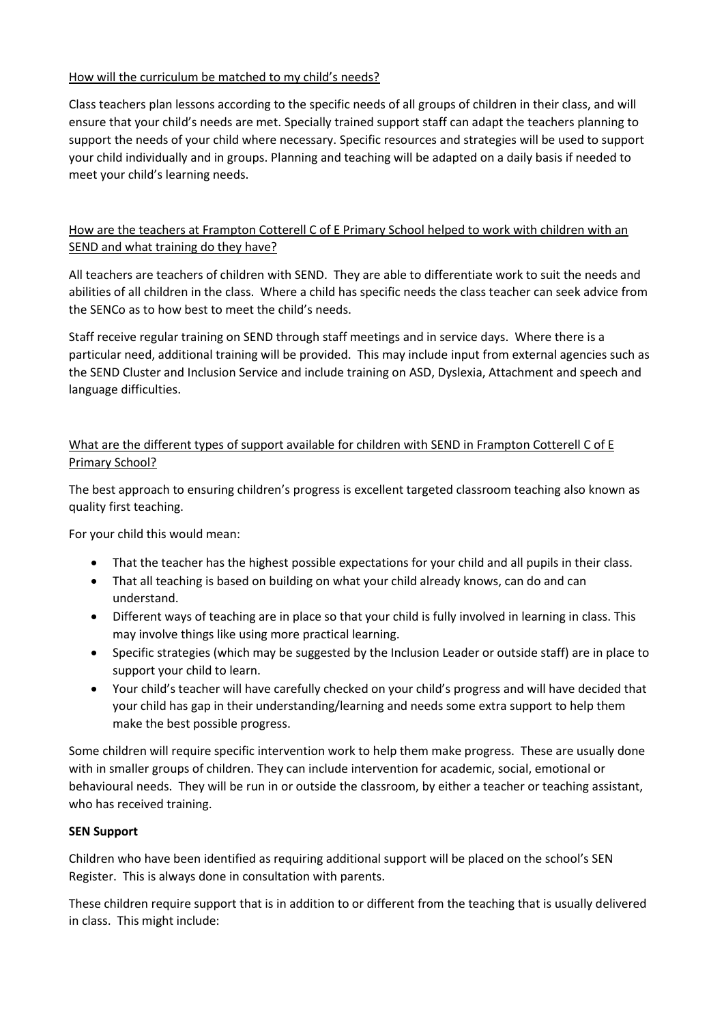## How will the curriculum be matched to my child's needs?

Class teachers plan lessons according to the specific needs of all groups of children in their class, and will ensure that your child's needs are met. Specially trained support staff can adapt the teachers planning to support the needs of your child where necessary. Specific resources and strategies will be used to support your child individually and in groups. Planning and teaching will be adapted on a daily basis if needed to meet your child's learning needs.

# How are the teachers at Frampton Cotterell C of E Primary School helped to work with children with an SEND and what training do they have?

All teachers are teachers of children with SEND. They are able to differentiate work to suit the needs and abilities of all children in the class. Where a child has specific needs the class teacher can seek advice from the SENCo as to how best to meet the child's needs.

Staff receive regular training on SEND through staff meetings and in service days. Where there is a particular need, additional training will be provided. This may include input from external agencies such as the SEND Cluster and Inclusion Service and include training on ASD, Dyslexia, Attachment and speech and language difficulties.

# What are the different types of support available for children with SEND in Frampton Cotterell C of E Primary School?

The best approach to ensuring children's progress is excellent targeted classroom teaching also known as quality first teaching.

For your child this would mean:

- That the teacher has the highest possible expectations for your child and all pupils in their class.
- That all teaching is based on building on what your child already knows, can do and can understand.
- Different ways of teaching are in place so that your child is fully involved in learning in class. This may involve things like using more practical learning.
- Specific strategies (which may be suggested by the Inclusion Leader or outside staff) are in place to support your child to learn.
- Your child's teacher will have carefully checked on your child's progress and will have decided that your child has gap in their understanding/learning and needs some extra support to help them make the best possible progress.

Some children will require specific intervention work to help them make progress. These are usually done with in smaller groups of children. They can include intervention for academic, social, emotional or behavioural needs. They will be run in or outside the classroom, by either a teacher or teaching assistant, who has received training.

## **SEN Support**

Children who have been identified as requiring additional support will be placed on the school's SEN Register. This is always done in consultation with parents.

These children require support that is in addition to or different from the teaching that is usually delivered in class. This might include: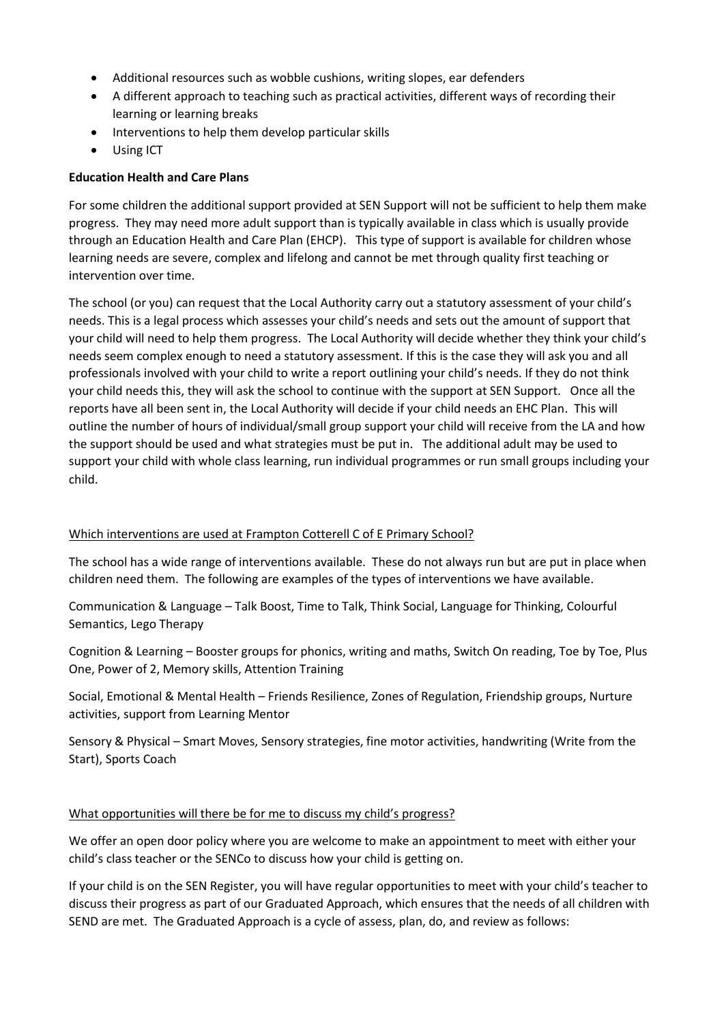- Additional resources such as wobble cushions, writing slopes, ear defenders
- A different approach to teaching such as practical activities, different ways of recording their learning or learning breaks
- Interventions to help them develop particular skills
- Using ICT

## **Education Health and Care Plans**

For some children the additional support provided at SEN Support will not be sufficient to help them make progress. They may need more adult support than is typically available in class which is usually provide through an Education Health and Care Plan (EHCP). This type of support is available for children whose learning needs are severe, complex and lifelong and cannot be met through quality first teaching or intervention over time.

The school (or you) can request that the Local Authority carry out a statutory assessment of your child's needs. This is a legal process which assesses your child's needs and sets out the amount of support that your child will need to help them progress. The Local Authority will decide whether they think your child's needs seem complex enough to need a statutory assessment. If this is the case they will ask you and all professionals involved with your child to write a report outlining your child's needs. If they do not think your child needs this, they will ask the school to continue with the support at SEN Support. Once all the reports have all been sent in, the Local Authority will decide if your child needs an EHC Plan. This will outline the number of hours of individual/small group support your child will receive from the LA and how the support should be used and what strategies must be put in. The additional adult may be used to support your child with whole class learning, run individual programmes or run small groups including your child.

## Which interventions are used at Frampton Cotterell C of E Primary School?

The school has a wide range of interventions available. These do not always run but are put in place when children need them. The following are examples of the types of interventions we have available.

Communication & Language – Talk Boost, Time to Talk, Think Social, Language for Thinking, Colourful Semantics, Lego Therapy

Cognition & Learning – Booster groups for phonics, writing and maths, Switch On reading, Toe by Toe, Plus One, Power of 2, Memory skills, Attention Training

Social, Emotional & Mental Health – Friends Resilience, Zones of Regulation, Friendship groups, Nurture activities, support from Learning Mentor

Sensory & Physical – Smart Moves, Sensory strategies, fine motor activities, handwriting (Write from the Start), Sports Coach

## What opportunities will there be for me to discuss my child's progress?

We offer an open door policy where you are welcome to make an appointment to meet with either your child's class teacher or the SENCo to discuss how your child is getting on.

If your child is on the SEN Register, you will have regular opportunities to meet with your child's teacher to discuss their progress as part of our Graduated Approach, which ensures that the needs of all children with SEND are met. The Graduated Approach is a cycle of assess, plan, do, and review as follows: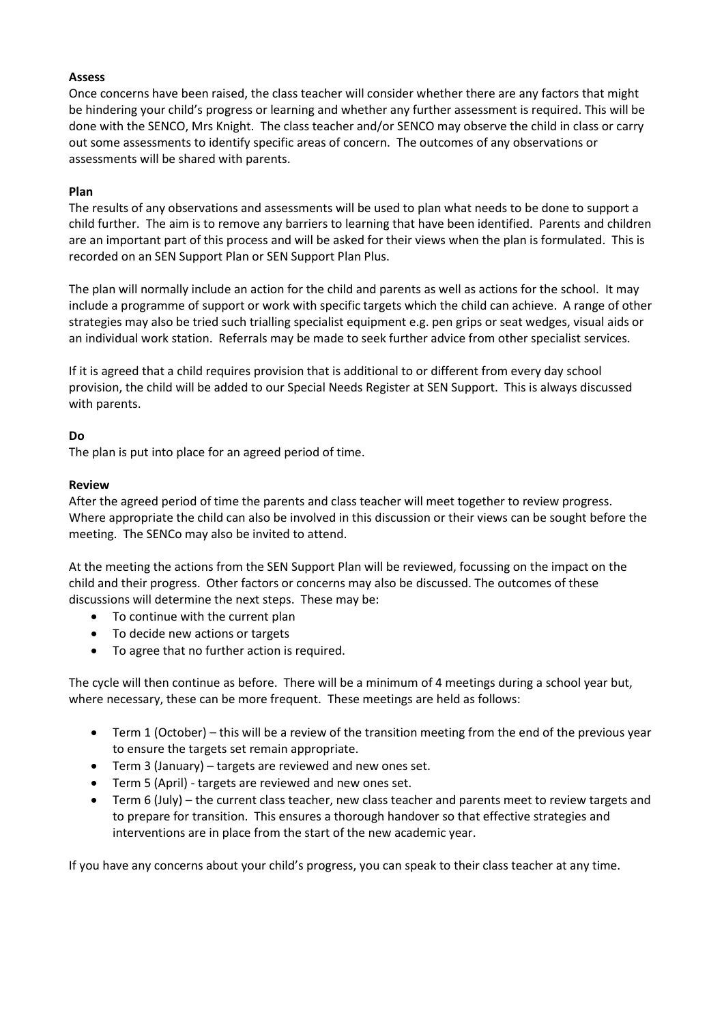#### **Assess**

Once concerns have been raised, the class teacher will consider whether there are any factors that might be hindering your child's progress or learning and whether any further assessment is required. This will be done with the SENCO, Mrs Knight. The class teacher and/or SENCO may observe the child in class or carry out some assessments to identify specific areas of concern. The outcomes of any observations or assessments will be shared with parents.

#### **Plan**

The results of any observations and assessments will be used to plan what needs to be done to support a child further. The aim is to remove any barriers to learning that have been identified. Parents and children are an important part of this process and will be asked for their views when the plan is formulated. This is recorded on an SEN Support Plan or SEN Support Plan Plus.

The plan will normally include an action for the child and parents as well as actions for the school. It may include a programme of support or work with specific targets which the child can achieve. A range of other strategies may also be tried such trialling specialist equipment e.g. pen grips or seat wedges, visual aids or an individual work station. Referrals may be made to seek further advice from other specialist services.

If it is agreed that a child requires provision that is additional to or different from every day school provision, the child will be added to our Special Needs Register at SEN Support. This is always discussed with parents.

#### **Do**

The plan is put into place for an agreed period of time.

#### **Review**

After the agreed period of time the parents and class teacher will meet together to review progress. Where appropriate the child can also be involved in this discussion or their views can be sought before the meeting. The SENCo may also be invited to attend.

At the meeting the actions from the SEN Support Plan will be reviewed, focussing on the impact on the child and their progress. Other factors or concerns may also be discussed. The outcomes of these discussions will determine the next steps. These may be:

- To continue with the current plan
- To decide new actions or targets
- To agree that no further action is required.

The cycle will then continue as before. There will be a minimum of 4 meetings during a school year but, where necessary, these can be more frequent. These meetings are held as follows:

- Term 1 (October) this will be a review of the transition meeting from the end of the previous year to ensure the targets set remain appropriate.
- Term 3 (January) targets are reviewed and new ones set.
- Term 5 (April) targets are reviewed and new ones set.
- Term 6 (July) the current class teacher, new class teacher and parents meet to review targets and to prepare for transition. This ensures a thorough handover so that effective strategies and interventions are in place from the start of the new academic year.

If you have any concerns about your child's progress, you can speak to their class teacher at any time.